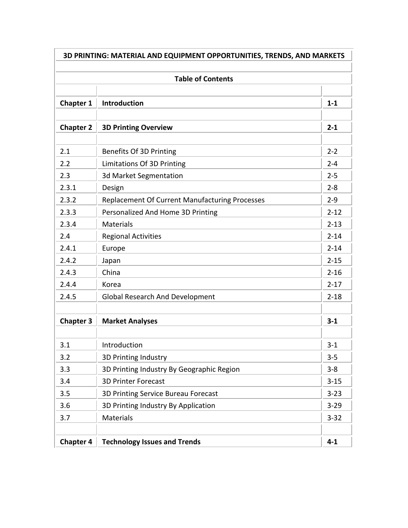| <b>Table of Contents</b> |                                                |          |
|--------------------------|------------------------------------------------|----------|
| <b>Chapter 1</b>         | <b>Introduction</b>                            | $1 - 1$  |
| <b>Chapter 2</b>         | <b>3D Printing Overview</b>                    | $2 - 1$  |
| 2.1                      | Benefits Of 3D Printing                        | $2 - 2$  |
| 2.2                      | Limitations Of 3D Printing                     | $2 - 4$  |
| 2.3                      | 3d Market Segmentation                         | $2 - 5$  |
| 2.3.1                    | Design                                         | $2 - 8$  |
| 2.3.2                    | Replacement Of Current Manufacturing Processes | $2 - 9$  |
| 2.3.3                    | Personalized And Home 3D Printing              | $2 - 12$ |
| 2.3.4                    | <b>Materials</b>                               | $2 - 13$ |
| 2.4                      | <b>Regional Activities</b>                     | $2 - 14$ |
| 2.4.1                    | Europe                                         | $2 - 14$ |
| 2.4.2                    | Japan                                          | $2 - 15$ |
| 2.4.3                    | China                                          | $2 - 16$ |
| 2.4.4                    | Korea                                          | $2 - 17$ |
| 2.4.5                    | <b>Global Research And Development</b>         | $2 - 18$ |
|                          |                                                |          |
| <b>Chapter 3</b>         | <b>Market Analyses</b>                         | $3 - 1$  |
| 3.1                      | Introduction                                   | $3 - 1$  |
| 3.2                      | 3D Printing Industry                           | $3 - 5$  |
| 3.3                      | 3D Printing Industry By Geographic Region      | $3 - 8$  |
| 3.4                      | <b>3D Printer Forecast</b>                     | $3 - 15$ |
| 3.5                      | 3D Printing Service Bureau Forecast            | $3 - 23$ |
| 3.6                      | 3D Printing Industry By Application            | $3 - 29$ |
| 3.7                      | <b>Materials</b>                               | $3 - 32$ |
|                          |                                                |          |
| <b>Chapter 4</b>         | <b>Technology Issues and Trends</b>            | $4 - 1$  |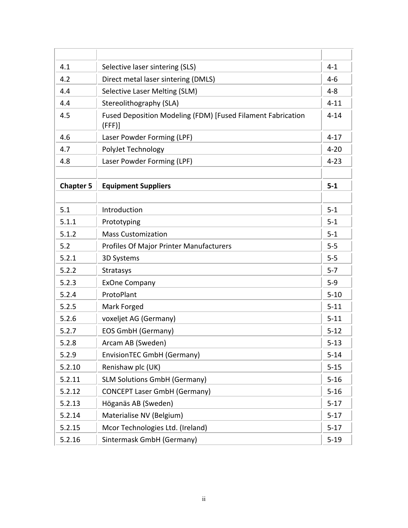| 4.1              | Selective laser sintering (SLS)                                      | $4 - 1$  |
|------------------|----------------------------------------------------------------------|----------|
| 4.2              | Direct metal laser sintering (DMLS)                                  | $4 - 6$  |
| 4.4              | <b>Selective Laser Melting (SLM)</b>                                 | $4 - 8$  |
| 4.4              | Stereolithography (SLA)                                              | $4 - 11$ |
| 4.5              | Fused Deposition Modeling (FDM) [Fused Filament Fabrication<br>(FFF) | $4 - 14$ |
| 4.6              | Laser Powder Forming (LPF)                                           | $4 - 17$ |
| 4.7              | PolyJet Technology                                                   | $4 - 20$ |
| 4.8              | Laser Powder Forming (LPF)                                           | $4 - 23$ |
|                  |                                                                      |          |
| <b>Chapter 5</b> | <b>Equipment Suppliers</b>                                           | $5-1$    |
|                  |                                                                      |          |
| 5.1              | Introduction                                                         | $5 - 1$  |
| 5.1.1            | Prototyping                                                          | $5-1$    |
| 5.1.2            | <b>Mass Customization</b>                                            | $5 - 1$  |
| 5.2              | Profiles Of Major Printer Manufacturers                              | $5-5$    |
| 5.2.1            | 3D Systems                                                           | $5-5$    |
| 5.2.2            | Stratasys                                                            | $5 - 7$  |
| 5.2.3            | <b>ExOne Company</b>                                                 | $5-9$    |
| 5.2.4            | ProtoPlant                                                           | $5 - 10$ |
| 5.2.5            | Mark Forged                                                          | $5 - 11$ |
| 5.2.6            | voxeljet AG (Germany)                                                | $5 - 11$ |
| 5.2.7            | <b>EOS GmbH (Germany)</b>                                            | $5 - 12$ |
| 5.2.8            | Arcam AB (Sweden)                                                    | $5 - 13$ |
| 5.2.9            | EnvisionTEC GmbH (Germany)                                           | $5 - 14$ |
| 5.2.10           | Renishaw plc (UK)                                                    | $5 - 15$ |
| 5.2.11           | <b>SLM Solutions GmbH (Germany)</b>                                  | $5 - 16$ |
| 5.2.12           | <b>CONCEPT Laser GmbH (Germany)</b>                                  | $5 - 16$ |
| 5.2.13           | Höganäs AB (Sweden)                                                  | $5 - 17$ |
| 5.2.14           | Materialise NV (Belgium)                                             | $5-17$   |
| 5.2.15           | Mcor Technologies Ltd. (Ireland)                                     | $5-17$   |
| 5.2.16           | Sintermask GmbH (Germany)                                            | $5-19$   |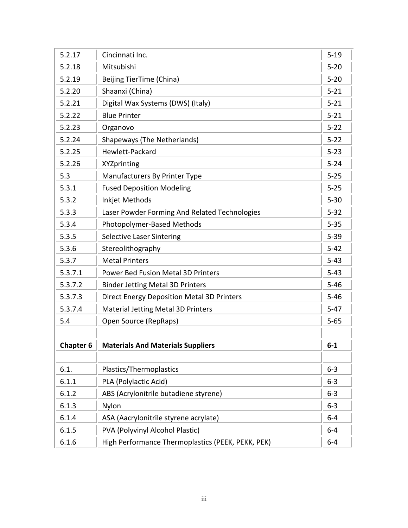| Cincinnati Inc.                                   | $5 - 19$                                                                                                                                                                       |
|---------------------------------------------------|--------------------------------------------------------------------------------------------------------------------------------------------------------------------------------|
| Mitsubishi                                        | $5 - 20$                                                                                                                                                                       |
| Beijing TierTime (China)                          | $5 - 20$                                                                                                                                                                       |
| Shaanxi (China)                                   | $5 - 21$                                                                                                                                                                       |
| Digital Wax Systems (DWS) (Italy)                 | $5 - 21$                                                                                                                                                                       |
| <b>Blue Printer</b>                               | $5 - 21$                                                                                                                                                                       |
| Organovo                                          | $5 - 22$                                                                                                                                                                       |
| <b>Shapeways (The Netherlands)</b>                | $5 - 22$                                                                                                                                                                       |
| Hewlett-Packard                                   | $5 - 23$                                                                                                                                                                       |
| XYZprinting                                       | $5 - 24$                                                                                                                                                                       |
| Manufacturers By Printer Type                     | $5 - 25$                                                                                                                                                                       |
| <b>Fused Deposition Modeling</b>                  | $5 - 25$                                                                                                                                                                       |
| Inkjet Methods                                    | $5 - 30$                                                                                                                                                                       |
| Laser Powder Forming And Related Technologies     | $5 - 32$                                                                                                                                                                       |
| Photopolymer-Based Methods                        | $5 - 35$                                                                                                                                                                       |
| <b>Selective Laser Sintering</b>                  | $5 - 39$                                                                                                                                                                       |
| Stereolithography                                 | $5 - 42$                                                                                                                                                                       |
| <b>Metal Printers</b>                             | $5 - 43$                                                                                                                                                                       |
| <b>Power Bed Fusion Metal 3D Printers</b>         | $5 - 43$                                                                                                                                                                       |
| <b>Binder Jetting Metal 3D Printers</b>           | $5 - 46$                                                                                                                                                                       |
| <b>Direct Energy Deposition Metal 3D Printers</b> | $5 - 46$                                                                                                                                                                       |
| <b>Material Jetting Metal 3D Printers</b>         | $5-47$                                                                                                                                                                         |
| Open Source (RepRaps)                             | $5 - 65$                                                                                                                                                                       |
| <b>Materials And Materials Suppliers</b>          | $6 - 1$                                                                                                                                                                        |
|                                                   | $6 - 3$                                                                                                                                                                        |
|                                                   | $6 - 3$                                                                                                                                                                        |
|                                                   | $6 - 3$                                                                                                                                                                        |
|                                                   | $6 - 3$                                                                                                                                                                        |
|                                                   |                                                                                                                                                                                |
|                                                   | $6-4$                                                                                                                                                                          |
|                                                   | $6-4$                                                                                                                                                                          |
|                                                   | Plastics/Thermoplastics<br>PLA (Polylactic Acid)<br>ABS (Acrylonitrile butadiene styrene)<br>Nylon<br>ASA (Aacrylonitrile styrene acrylate)<br>PVA (Polyvinyl Alcohol Plastic) |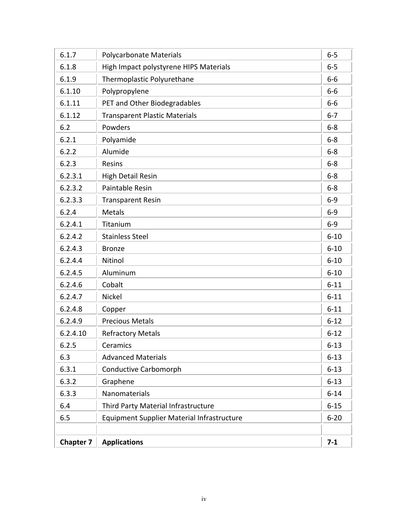| 6.1.7            | <b>Polycarbonate Materials</b>                    | $6-5$    |
|------------------|---------------------------------------------------|----------|
| 6.1.8            | High Impact polystyrene HIPS Materials            | $6-5$    |
| 6.1.9            | Thermoplastic Polyurethane                        | $6-6$    |
| 6.1.10           | Polypropylene                                     | $6-6$    |
| 6.1.11           | PET and Other Biodegradables                      | $6-6$    |
| 6.1.12           | <b>Transparent Plastic Materials</b>              | $6 - 7$  |
| 6.2              | Powders                                           | $6-8$    |
| 6.2.1            | Polyamide                                         | $6-8$    |
| 6.2.2            | Alumide                                           | $6-8$    |
| 6.2.3            | Resins                                            | $6-8$    |
| 6.2.3.1          | <b>High Detail Resin</b>                          | $6-8$    |
| 6.2.3.2          | <b>Paintable Resin</b>                            | $6-8$    |
| 6.2.3.3          | <b>Transparent Resin</b>                          | $6-9$    |
| 6.2.4            | <b>Metals</b>                                     | $6-9$    |
| 6.2.4.1          | Titanium                                          | $6-9$    |
| 6.2.4.2          | <b>Stainless Steel</b>                            | $6 - 10$ |
| 6.2.4.3          | <b>Bronze</b>                                     | $6 - 10$ |
| 6.2.4.4          | Nitinol                                           | $6 - 10$ |
| 6.2.4.5          | Aluminum                                          | $6 - 10$ |
| 6.2.4.6          | Cobalt                                            | $6 - 11$ |
| 6.2.4.7          | <b>Nickel</b>                                     | $6 - 11$ |
| 6.2.4.8          | Copper                                            | $6 - 11$ |
| 6.2.4.9          | <b>Precious Metals</b>                            | $6 - 12$ |
| 6.2.4.10         | <b>Refractory Metals</b>                          | $6 - 12$ |
| 6.2.5            | Ceramics                                          | $6 - 13$ |
| 6.3              | <b>Advanced Materials</b>                         | $6 - 13$ |
| 6.3.1            | <b>Conductive Carbomorph</b>                      | $6 - 13$ |
| 6.3.2            | Graphene                                          | $6 - 13$ |
| 6.3.3            | Nanomaterials                                     | $6 - 14$ |
| 6.4              | Third Party Material Infrastructure               | $6 - 15$ |
| 6.5              | <b>Equipment Supplier Material Infrastructure</b> | $6 - 20$ |
|                  |                                                   |          |
| <b>Chapter 7</b> | <b>Applications</b>                               | $7 - 1$  |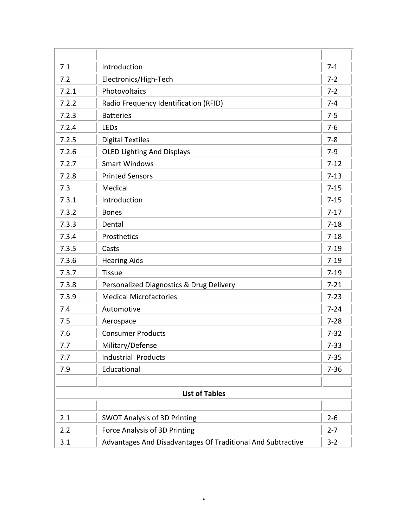| 7.1   | Introduction                                                | $7 - 1$  |
|-------|-------------------------------------------------------------|----------|
| 7.2   | Electronics/High-Tech                                       | $7 - 2$  |
| 7.2.1 | Photovoltaics                                               | $7 - 2$  |
| 7.2.2 | Radio Frequency Identification (RFID)                       | $7 - 4$  |
| 7.2.3 | <b>Batteries</b>                                            | $7 - 5$  |
| 7.2.4 | LEDs                                                        | $7-6$    |
| 7.2.5 | <b>Digital Textiles</b>                                     | $7 - 8$  |
| 7.2.6 | <b>OLED Lighting And Displays</b>                           | $7-9$    |
| 7.2.7 | <b>Smart Windows</b>                                        | $7 - 12$ |
| 7.2.8 | <b>Printed Sensors</b>                                      | $7 - 13$ |
| 7.3   | Medical                                                     | $7 - 15$ |
| 7.3.1 | Introduction                                                | $7 - 15$ |
| 7.3.2 | <b>Bones</b>                                                | $7-17$   |
| 7.3.3 | Dental                                                      | $7 - 18$ |
| 7.3.4 | Prosthetics                                                 | $7 - 18$ |
| 7.3.5 | Casts                                                       | $7 - 19$ |
| 7.3.6 | <b>Hearing Aids</b>                                         | $7 - 19$ |
| 7.3.7 | <b>Tissue</b>                                               | $7 - 19$ |
| 7.3.8 | Personalized Diagnostics & Drug Delivery                    | $7 - 21$ |
| 7.3.9 | <b>Medical Microfactories</b>                               | $7 - 23$ |
| 7.4   | Automotive                                                  | $7 - 24$ |
| 7.5   | Aerospace                                                   | $7 - 28$ |
| 7.6   | <b>Consumer Products</b>                                    | $7 - 32$ |
| 7.7   | Military/Defense                                            | $7 - 33$ |
| 7.7   | <b>Industrial Products</b>                                  | $7 - 35$ |
| 7.9   | Educational                                                 | $7 - 36$ |
|       | <b>List of Tables</b>                                       |          |
|       |                                                             |          |
| 2.1   | <b>SWOT Analysis of 3D Printing</b>                         | $2 - 6$  |
| 2.2   | Force Analysis of 3D Printing                               | $2 - 7$  |
| 3.1   | Advantages And Disadvantages Of Traditional And Subtractive | $3 - 2$  |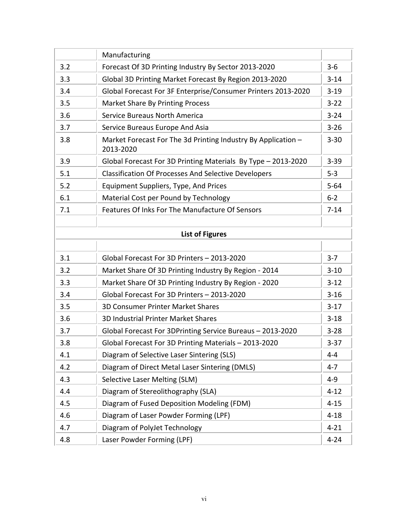|     | Manufacturing                                                              |          |
|-----|----------------------------------------------------------------------------|----------|
| 3.2 | Forecast Of 3D Printing Industry By Sector 2013-2020                       | $3 - 6$  |
| 3.3 | Global 3D Printing Market Forecast By Region 2013-2020                     | $3 - 14$ |
| 3.4 | Global Forecast For 3F Enterprise/Consumer Printers 2013-2020              | $3-19$   |
| 3.5 | <b>Market Share By Printing Process</b>                                    | $3 - 22$ |
| 3.6 | <b>Service Bureaus North America</b>                                       | $3 - 24$ |
| 3.7 | Service Bureaus Europe And Asia                                            | $3 - 26$ |
| 3.8 | Market Forecast For The 3d Printing Industry By Application -<br>2013-2020 | $3 - 30$ |
| 3.9 | Global Forecast For 3D Printing Materials By Type - 2013-2020              | $3 - 39$ |
| 5.1 | <b>Classification Of Processes And Selective Developers</b>                | $5 - 3$  |
| 5.2 | Equipment Suppliers, Type, And Prices                                      | $5 - 64$ |
| 6.1 | Material Cost per Pound by Technology                                      | $6 - 2$  |
| 7.1 | Features Of Inks For The Manufacture Of Sensors                            | $7 - 14$ |
|     | <b>List of Figures</b>                                                     |          |
|     |                                                                            |          |
| 3.1 | Global Forecast For 3D Printers - 2013-2020                                | $3 - 7$  |
| 3.2 | Market Share Of 3D Printing Industry By Region - 2014                      | $3 - 10$ |
| 3.3 | Market Share Of 3D Printing Industry By Region - 2020                      | $3 - 12$ |
| 3.4 | Global Forecast For 3D Printers - 2013-2020                                | $3 - 16$ |
| 3.5 | <b>3D Consumer Printer Market Shares</b>                                   | $3-17$   |
| 3.6 | 3D Industrial Printer Market Shares                                        | $3 - 18$ |
| 3.7 | Global Forecast For 3DPrinting Service Bureaus - 2013-2020                 | $3 - 28$ |
| 3.8 | Global Forecast For 3D Printing Materials - 2013-2020                      | $3 - 37$ |
| 4.1 | Diagram of Selective Laser Sintering (SLS)                                 | $4 - 4$  |
| 4.2 | Diagram of Direct Metal Laser Sintering (DMLS)                             | $4 - 7$  |
| 4.3 | Selective Laser Melting (SLM)                                              | $4 - 9$  |
| 4.4 | Diagram of Stereolithography (SLA)                                         | $4 - 12$ |
| 4.5 | Diagram of Fused Deposition Modeling (FDM)                                 | $4 - 15$ |
| 4.6 | Diagram of Laser Powder Forming (LPF)                                      | $4 - 18$ |
| 4.7 | Diagram of PolyJet Technology                                              | $4 - 21$ |
| 4.8 | Laser Powder Forming (LPF)                                                 | $4 - 24$ |